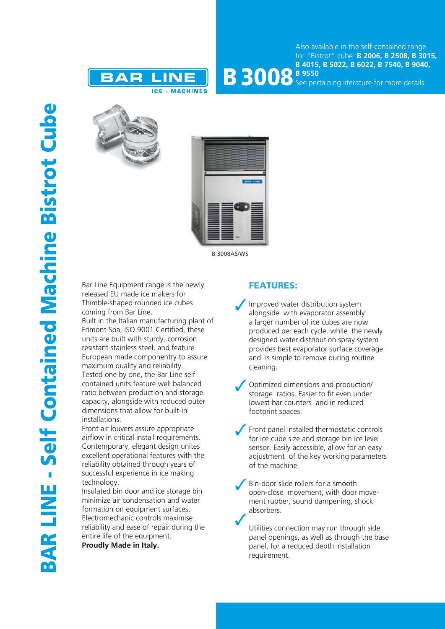



**B 3008** B 9550 See pertaining literature for more details





B 3008AS/WS

Bar Line Equipment range is the newly released EU made ice makers for Thimble-shaped rounded ice cubes coming from Bar Line.

Built in the Italian manufacturing plant of Frimont Spa, ISO 9001 Certified, these units are built with sturdy, corrosion resistant stainless steel, and feature European made componentry to assure maximum quality and reliability. Tested one by one, the Bar Line self contained units feature well balanced ratio between production and storage capacity, alongside with reduced outer dimensions that allow for built-in installations.

Front air louvers assure appropriate airflow in critical install requirements. Contemporary, elegant design unites excellent operational features with the reliability obtained through years of successful experience in ice making technology.

Insulated bin door and ice storage bin minimize air condensation and water formation on equipment surfaces. Electromechanic controls maximise reliability and ease of repair during the entire life of the equipment.

**Proudly Made in Italy.**

## FEATURES:

- Improved water distribution system alongside with evaporator assembly: a larger number of ice cubes are now produced per each cycle, while the newly designed water distribution spray system provides best evaporator surface coverage and is simple to remove during routine cleaning.
- Optimized dimensions and production/ storage ratios. Easier to fit even under lowest bar counters and in reduced footprint spaces.
- Front panel installed thermostatic controls for ice cube size and storage bin ice level sensor. Easily accessible, allow for an easy adjustment of the key working parameters of the machine.
- Bin-door slide rollers for a smooth open-close movement, with door movement rubber, sound dampening, shock absorbers.

Utilities connection may run through side panel openings, as well as through the base panel, for a reduced depth installation requirement.